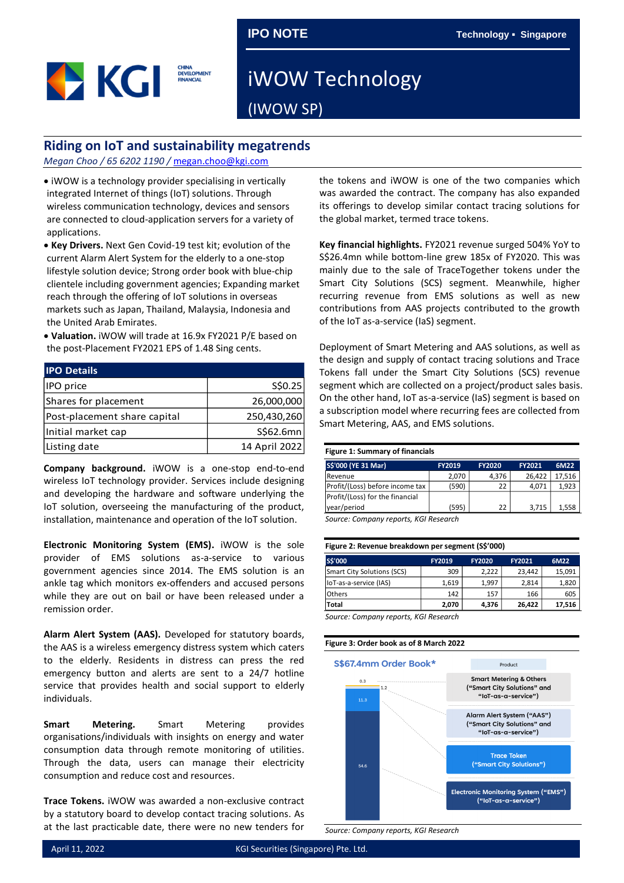

## iWOW Technology (IWOW SP)

## **Riding on IoT and sustainability megatrends**

*Megan Choo / 65 6202 1190 /* [megan.choo@kgi.com](mailto:megan.choo@kgi.com)

• iWOW is a technology provider specialising in vertically integrated Internet of things (IoT) solutions. Through wireless communication technology, devices and sensors are connected to cloud-application servers for a variety of applications.

- **Key Drivers.** Next Gen Covid-19 test kit; evolution of the current Alarm Alert System for the elderly to a one-stop lifestyle solution device; Strong order book with blue-chip clientele including government agencies; Expanding market reach through the offering of IoT solutions in overseas markets such as Japan, Thailand, Malaysia, Indonesia and the United Arab Emirates.
- **Valuation.** iWOW will trade at 16.9x FY2021 P/E based on the post-Placement FY2021 EPS of 1.48 Sing cents.

| <b>IPO Details</b>           |               |
|------------------------------|---------------|
| IPO price                    | S\$0.25       |
| Shares for placement         | 26,000,000    |
| Post-placement share capital | 250,430,260   |
| Initial market cap           | S\$62.6mn     |
| Listing date                 | 14 April 2022 |

**Company background.** iWOW is a one-stop end-to-end wireless IoT technology provider. Services include designing and developing the hardware and software underlying the IoT solution, overseeing the manufacturing of the product, installation, maintenance and operation of the IoT solution.

**Electronic Monitoring System (EMS).** iWOW is the sole provider of EMS solutions as-a-service to various government agencies since 2014. The EMS solution is an ankle tag which monitors ex-offenders and accused persons while they are out on bail or have been released under a remission order.

**Alarm Alert System (AAS).** Developed for statutory boards, the AAS is a wireless emergency distress system which caters to the elderly. Residents in distress can press the red emergency button and alerts are sent to a 24/7 hotline service that provides health and social support to elderly individuals.

**Smart Metering.** Smart Metering provides organisations/individuals with insights on energy and water consumption data through remote monitoring of utilities. Through the data, users can manage their electricity consumption and reduce cost and resources.

**Trace Tokens.** iWOW was awarded a non-exclusive contract by a statutory board to develop contact tracing solutions. As at the last practicable date, there were no new tenders for the tokens and iWOW is one of the two companies which was awarded the contract. The company has also expanded its offerings to develop similar contact tracing solutions for the global market, termed trace tokens.

**Key financial highlights.** FY2021 revenue surged 504% YoY to S\$26.4mn while bottom-line grew 185x of FY2020. This was mainly due to the sale of TraceTogether tokens under the Smart City Solutions (SCS) segment. Meanwhile, higher recurring revenue from EMS solutions as well as new contributions from AAS projects contributed to the growth of the IoT as-a-service (IaS) segment.

Deployment of Smart Metering and AAS solutions, as well as the design and supply of contact tracing solutions and Trace Tokens fall under the Smart City Solutions (SCS) revenue segment which are collected on a project/product sales basis. On the other hand, IoT as-a-service (IaS) segment is based on a subscription model where recurring fees are collected from Smart Metering, AAS, and EMS solutions.

## **Figure 1: Summary of financials**

| 2.070<br>(590) | 26.422<br>4.376<br>22<br>4.071 | 17.516                                         |
|----------------|--------------------------------|------------------------------------------------|
|                |                                |                                                |
|                |                                | 1.923                                          |
|                |                                |                                                |
| (595)          | 22                             | 1,558                                          |
|                |                                | 3.715<br>Course Communications VCI Description |

*Source: Company reports, KGI Research*

| Figure 2: Revenue breakdown per segment (S\$'000) |  |  |
|---------------------------------------------------|--|--|
|                                                   |  |  |

| S\$'000                    | <b>FY2019</b> | <b>FY2020</b> | <b>FY2021</b> | 6M22   |
|----------------------------|---------------|---------------|---------------|--------|
| Smart City Solutions (SCS) | 309           | 2.222         | 23.442        | 15,091 |
| loT-as-a-service (IAS)     | 1.619         | 1.997         | 2.814         | 1,820  |
| <b>Others</b>              | 142           | 157           | 166           | 605    |
| Total                      | 2.070         | 4,376         | 26,422        | 17,516 |

*Source: Company reports, KGI Research*

## **Figure 3: Order book as of 8 March 2022**



*Source: Company reports, KGI Research*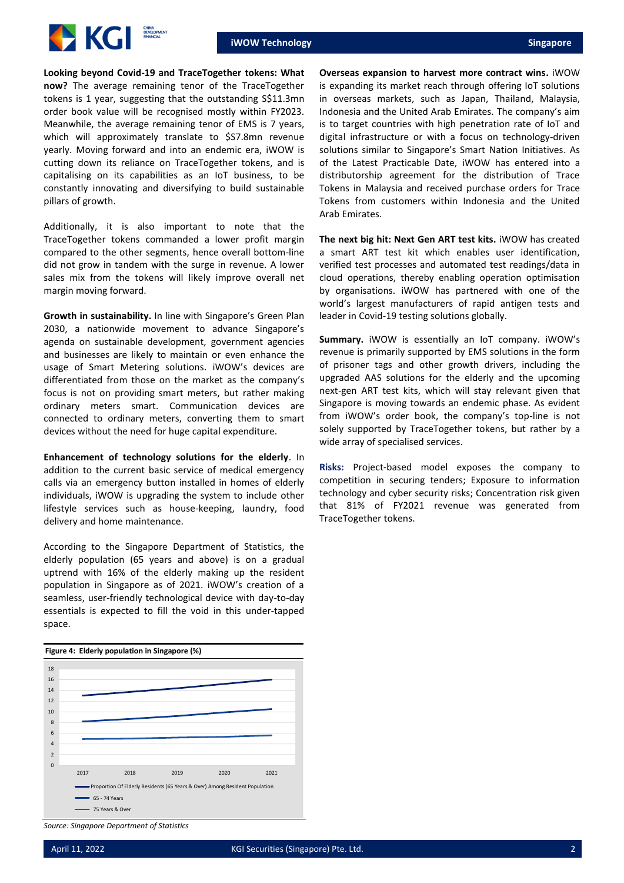

**Looking beyond Covid-19 and TraceTogether tokens: What now?** The average remaining tenor of the TraceTogether tokens is 1 year, suggesting that the outstanding S\$11.3mn order book value will be recognised mostly within FY2023. Meanwhile, the average remaining tenor of EMS is 7 years, which will approximately translate to \$S7.8mn revenue yearly. Moving forward and into an endemic era, iWOW is cutting down its reliance on TraceTogether tokens, and is capitalising on its capabilities as an IoT business, to be constantly innovating and diversifying to build sustainable pillars of growth.

Additionally, it is also important to note that the TraceTogether tokens commanded a lower profit margin compared to the other segments, hence overall bottom-line did not grow in tandem with the surge in revenue. A lower sales mix from the tokens will likely improve overall net margin moving forward.

**Growth in sustainability.** In line with Singapore's Green Plan 2030, a nationwide movement to advance Singapore's agenda on sustainable development, government agencies and businesses are likely to maintain or even enhance the usage of Smart Metering solutions. iWOW's devices are differentiated from those on the market as the company's focus is not on providing smart meters, but rather making ordinary meters smart. Communication devices are connected to ordinary meters, converting them to smart devices without the need for huge capital expenditure.

**Enhancement of technology solutions for the elderly**. In addition to the current basic service of medical emergency calls via an emergency button installed in homes of elderly individuals, iWOW is upgrading the system to include other lifestyle services such as house-keeping, laundry, food delivery and home maintenance.

According to the Singapore Department of Statistics, the elderly population (65 years and above) is on a gradual uptrend with 16% of the elderly making up the resident population in Singapore as of 2021. iWOW's creation of a seamless, user-friendly technological device with day-to-day essentials is expected to fill the void in this under-tapped space.



**Overseas expansion to harvest more contract wins.** iWOW is expanding its market reach through offering IoT solutions in overseas markets, such as Japan, Thailand, Malaysia, Indonesia and the United Arab Emirates. The company's aim is to target countries with high penetration rate of IoT and digital infrastructure or with a focus on technology-driven solutions similar to Singapore's Smart Nation Initiatives. As of the Latest Practicable Date, iWOW has entered into a distributorship agreement for the distribution of Trace Tokens in Malaysia and received purchase orders for Trace Tokens from customers within Indonesia and the United Arab Emirates.

**The next big hit: Next Gen ART test kits.** iWOW has created a smart ART test kit which enables user identification, verified test processes and automated test readings/data in cloud operations, thereby enabling operation optimisation by organisations. iWOW has partnered with one of the world's largest manufacturers of rapid antigen tests and leader in Covid-19 testing solutions globally.

**Summary.** iWOW is essentially an IoT company. iWOW's revenue is primarily supported by EMS solutions in the form of prisoner tags and other growth drivers, including the upgraded AAS solutions for the elderly and the upcoming next-gen ART test kits, which will stay relevant given that Singapore is moving towards an endemic phase. As evident from iWOW's order book, the company's top-line is not solely supported by TraceTogether tokens, but rather by a wide array of specialised services.

**Risks:** Project-based model exposes the company to competition in securing tenders; Exposure to information technology and cyber security risks; Concentration risk given that 81% of FY2021 revenue was generated from TraceTogether tokens.

*Source: Singapore Department of Statistics*